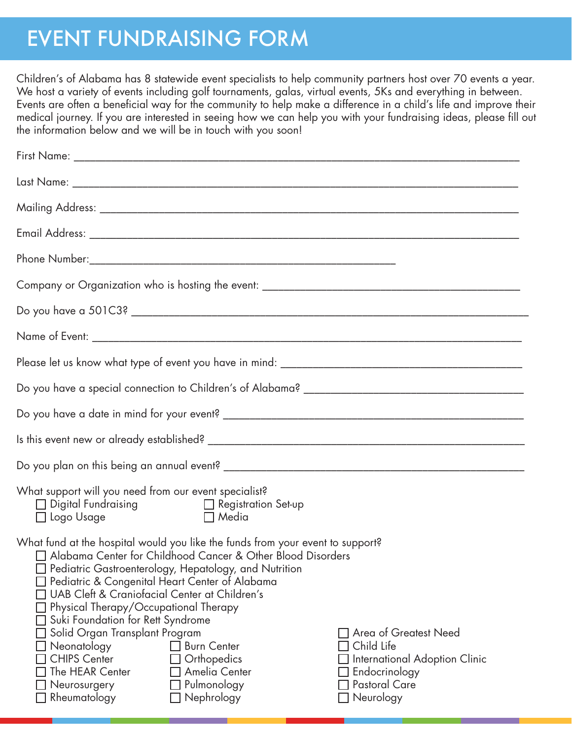## EVENT FUNDRAISING FORM

Children's of Alabama has 8 statewide event specialists to help community partners host over 70 events a year. We host a variety of events including golf tournaments, galas, virtual events, 5Ks and everything in between. Events are often a beneficial way for the community to help make a difference in a child's life and improve their medical journey. If you are interested in seeing how we can help you with your fundraising ideas, please fill out the information below and we will be in touch with you soon!

| What support will you need from our event specialist?<br>$\Box$ Digital Fundraising $\Box$ Registration Set-up<br>$\Box$ Media<br>$\Box$ Logo Usage                                                                                                                                                                                                                                                                                                                                                                                                                                                                                                                                                                                            |  |
|------------------------------------------------------------------------------------------------------------------------------------------------------------------------------------------------------------------------------------------------------------------------------------------------------------------------------------------------------------------------------------------------------------------------------------------------------------------------------------------------------------------------------------------------------------------------------------------------------------------------------------------------------------------------------------------------------------------------------------------------|--|
| What fund at the hospital would you like the funds from your event to support?<br>□ Alabama Center for Childhood Cancer & Other Blood Disorders<br>$\Box$ Pediatric Gastroenterology, Hepatology, and Nutrition<br>Pediatric & Congenital Heart Center of Alabama<br>UAB Cleft & Craniofacial Center at Children's<br>Physical Therapy/Occupational Therapy<br>Suki Foundation for Rett Syndrome<br>Solid Organ Transplant Program<br>T Area of Greatest Need<br>Child Life<br>Neonatology<br><b>Burn Center</b><br><b>CHIPS Center</b><br>Orthopedics<br>International Adoption Clinic<br>The HEAR Center<br>Amelia Center<br>Endocrinology<br><b>Pastoral Care</b><br>Pulmonology<br>Neurosurgery<br>Nephrology<br>Neurology<br>Rheumatology |  |